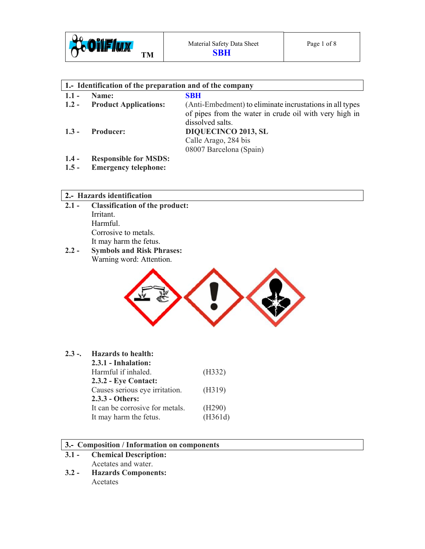

| 1. Identification of the preparation and of the company |                              |                                                          |  |  |
|---------------------------------------------------------|------------------------------|----------------------------------------------------------|--|--|
| $1.1 -$                                                 | Name:                        | <b>SBH</b>                                               |  |  |
| $1.2 -$                                                 | <b>Product Applications:</b> | (Anti-Embedment) to eliminate incrustations in all types |  |  |
|                                                         |                              | of pipes from the water in crude oil with very high in   |  |  |
|                                                         |                              | dissolved salts.                                         |  |  |
| $1.3 -$                                                 | <b>Producer:</b>             | <b>DIQUECINCO 2013, SL</b>                               |  |  |
|                                                         |                              | Calle Arago, 284 bis                                     |  |  |
|                                                         |                              | 08007 Barcelona (Spain)                                  |  |  |
| $1.4 -$                                                 | <b>Responsible for MSDS:</b> |                                                          |  |  |

**1.5 - Emergency telephone:** 

### **2.- Hazards identification**

- **2.1 Classification of the product:**  Irritant. Harmful. Corrosive to metals. It may harm the fetus.
- **2.2 Symbols and Risk Phrases:**  Warning word: Attention.



# **2.3 -. Hazards to health:**

| 2.3.1 - Inhalation:             |         |
|---------------------------------|---------|
| Harmful if inhaled.             | (H332)  |
| 2.3.2 - Eye Contact:            |         |
| Causes serious eye irritation.  | (H319)  |
| 2.3.3 - Others:                 |         |
| It can be corrosive for metals. | (H290)  |
| It may harm the fetus.          | (H361d) |

### **3.- Composition / Information on components**

# **3.1 - Chemical Description:**

- Acetates and water.
- **3.2 Hazards Components:**  Acetates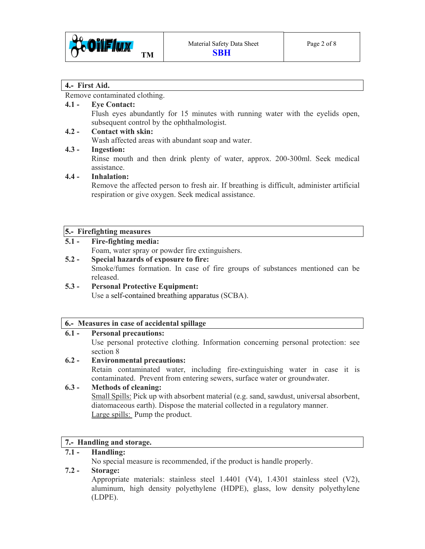

### **4.- First Aid.**

Remove contaminated clothing.

# **4.1 - Eye Contact:**

Flush eyes abundantly for 15 minutes with running water with the eyelids open, subsequent control by the ophthalmologist.

### **4.2 - Contact with skin:**

Wash affected areas with abundant soap and water.

### **4.3 - Ingestion:**

Rinse mouth and then drink plenty of water, approx. 200-300ml. Seek medical assistance.

### **4.4 - Inhalation:**

Remove the affected person to fresh air. If breathing is difficult, administer artificial respiration or give oxygen. Seek medical assistance.

### **5.- Firefighting measures**

# **Fire-fighting media:**

Foam, water spray or powder fire extinguishers.

- **5.2 Special hazards of exposure to fire:**  Smoke/fumes formation. In case of fire groups of substances mentioned can be released.
- **5.3 Personal Protective Equipment:**  Use a self-contained breathing apparatus (SCBA).

# **6.- Measures in case of accidental spillage**

### **6.1 - Personal precautions:**

Use personal protective clothing. Information concerning personal protection: see section 8

# **6.2 - Environmental precautions:**

Retain contaminated water, including fire-extinguishing water in case it is contaminated. Prevent from entering sewers, surface water or groundwater.

# **6.3 - Methods of cleaning:**

Small Spills: Pick up with absorbent material (e.g. sand, sawdust, universal absorbent, diatomaceous earth). Dispose the material collected in a regulatory manner. Large spills: Pump the product.

# **7.- Handling and storage.**

# **7.1 - Handling:**

No special measure is recommended, if the product is handle properly.

# **7.2 - Storage:**

Appropriate materials: stainless steel 1.4401 (V4), 1.4301 stainless steel (V2), aluminum, high density polyethylene (HDPE), glass, low density polyethylene (LDPE).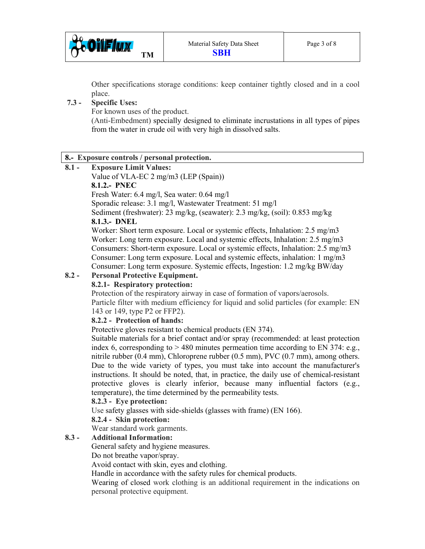

 Other specifications storage conditions: keep container tightly closed and in a cool place.

# **7.3 - Specific Uses:**

For known uses of the product.

 (Anti-Embedment) specially designed to eliminate incrustations in all types of pipes from the water in crude oil with very high in dissolved salts.

### **8.- Exposure controls / personal protection.**

### **8.1 - Exposure Limit Values:**

Value of VLA-EC 2 mg/m3 (LEP (Spain))

### **8.1.2.- PNEC**

Fresh Water: 6.4 mg/l, Sea water: 0.64 mg/l

Sporadic release: 3.1 mg/l, Wastewater Treatment: 51 mg/l

Sediment (freshwater): 23 mg/kg, (seawater): 2.3 mg/kg, (soil): 0.853 mg/kg

### **8.1.3.- DNEL**

 Worker: Short term exposure. Local or systemic effects, Inhalation: 2.5 mg/m3 Worker: Long term exposure. Local and systemic effects, Inhalation: 2.5 mg/m3 Consumers: Short-term exposure. Local or systemic effects, Inhalation: 2.5 mg/m3 Consumer: Long term exposure. Local and systemic effects, inhalation: 1 mg/m3 Consumer: Long term exposure. Systemic effects, Ingestion: 1.2 mg/kg BW/day

# **8.2 - Personal Protective Equipment.**

### **8.2.1- Respiratory protection:**

Protection of the respiratory airway in case of formation of vapors/aerosols. Particle filter with medium efficiency for liquid and solid particles (for example: EN 143 or 149, type P2 or FFP2).

### **8.2.2 - Protection of hands:**

Protective gloves resistant to chemical products (EN 374).

 Suitable materials for a brief contact and/or spray (recommended: at least protection index 6, corresponding to  $> 480$  minutes permeation time according to EN 374: e.g., nitrile rubber (0.4 mm), Chloroprene rubber (0.5 mm), PVC (0.7 mm), among others. Due to the wide variety of types, you must take into account the manufacturer's instructions. It should be noted, that, in practice, the daily use of chemical-resistant protective gloves is clearly inferior, because many influential factors (e.g., temperature), the time determined by the permeability tests.

### **8.2.3 - Eye protection:**

Use safety glasses with side-shields (glasses with frame) (EN 166).

### **8.2.4 - Skin protection:**

Wear standard work garments.

# **8.3 - Additional Information:**

General safety and hygiene measures.

Do not breathe vapor/spray.

Avoid contact with skin, eyes and clothing.

Handle in accordance with the safety rules for chemical products.

 Wearing of closed work clothing is an additional requirement in the indications on personal protective equipment.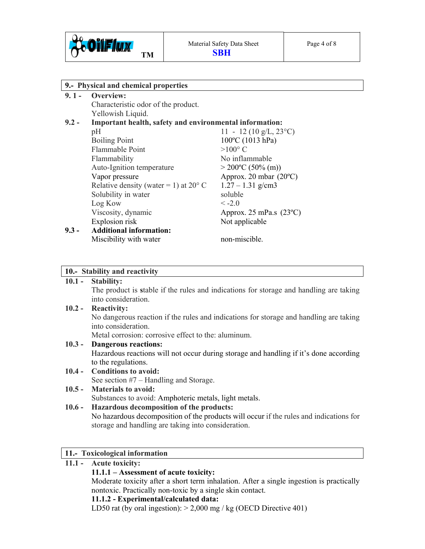

| 9.- Physical and chemical properties |                                                         |                                  |  |
|--------------------------------------|---------------------------------------------------------|----------------------------------|--|
| $9.1 -$                              | Overview:                                               |                                  |  |
|                                      | Characteristic odor of the product.                     |                                  |  |
|                                      | Yellowish Liquid.                                       |                                  |  |
| $9.2 -$                              | Important health, safety and environmental information: |                                  |  |
|                                      | pH                                                      | 11 - 12 (10 g/L, $23^{\circ}$ C) |  |
|                                      | <b>Boiling Point</b>                                    | 100°C (1013 hPa)                 |  |
|                                      | Flammable Point                                         | $>100^{\circ}$ C                 |  |
|                                      | Flammability                                            | No inflammable                   |  |
|                                      | Auto-Ignition temperature                               | $>$ 200°C (50% (m))              |  |
|                                      | Vapor pressure                                          | Approx. 20 mbar $(20^{\circ}C)$  |  |
|                                      | Relative density (water = 1) at $20^{\circ}$ C          | $1.27 - 1.31$ g/cm3              |  |
|                                      | Solubility in water                                     | soluble                          |  |
|                                      | Log Kow                                                 | $\leq -2.0$                      |  |
|                                      | Viscosity, dynamic                                      | Approx. 25 mPa.s $(23^{\circ}C)$ |  |
|                                      | Explosion risk                                          | Not applicable                   |  |
| $9.3 -$                              | <b>Additional information:</b>                          |                                  |  |
|                                      | Miscibility with water                                  | non-miscible.                    |  |

### **10.- Stability and reactivity**

#### **10.1 - Stability:**

The product is **s**table if the rules and indications for storage and handling are taking into consideration.

#### **10.2 - Reactivity:**

No dangerous reaction if the rules and indications for storage and handling are taking into consideration.

Metal corrosion: corrosive effect to the: aluminum.

### **10.3 - Dangerous reactions:**

Hazardous reactions will not occur during storage and handling if it's done according to the regulations.

# **10.4 - Conditions to avoid:**

See section #7 – Handling and Storage.

#### **10.5 - Materials to avoid:**  Substances to avoid: Amphoteric metals, light metals.

### **10.6 - Hazardous decomposition of the products:**

No hazardous decomposition of the products will occur if the rules and indications for storage and handling are taking into consideration.

### **11.- Toxicological information**

### **11.1 - Acute toxicity: 11.1.1 – Assessment of acute toxicity:**  Moderate toxicity after a short term inhalation. After a single ingestion is practically nontoxic. Practically non-toxic by a single skin contact. **11.1.2 - Experimental/calculated data:**  LD50 rat (by oral ingestion):  $> 2,000$  mg / kg (OECD Directive 401)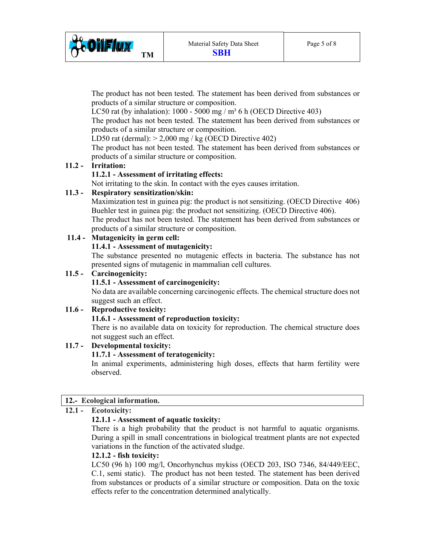

The product has not been tested. The statement has been derived from substances or products of a similar structure or composition.

LC50 rat (by inhalation):  $1000 - 5000$  mg / m<sup>3</sup> 6 h (OECD Directive 403)

 The product has not been tested. The statement has been derived from substances or products of a similar structure or composition.

LD50 rat (dermal):  $> 2,000$  mg / kg (OECD Directive 402)

 The product has not been tested. The statement has been derived from substances or products of a similar structure or composition.

# **11.2 - Irritation:**

# **11.2.1 - Assessment of irritating effects:**

Not irritating to the skin. In contact with the eyes causes irritation.

# **11.3 - Respiratory sensitization/skin:**

 Maximization test in guinea pig: the product is not sensitizing. (OECD Directive 406) Buehler test in guinea pig: the product not sensitizing. (OECD Directive 406). The product has not been tested. The statement has been derived from substances or products of a similar structure or composition.

# **11.4 - Mutagenicity in germ cell:**

 **11.4.1 - Assessment of mutagenicity:** 

 The substance presented no mutagenic effects in bacteria. The substance has not presented signs of mutagenic in mammalian cell cultures.

# **11.5 - Carcinogenicity:**

# **11.5.1 - Assessment of carcinogenicity:**

 No data are available concerning carcinogenic effects. The chemical structure does not suggest such an effect.

# **11.6 - Reproductive toxicity:**

# **11.6.1 - Assessment of reproduction toxicity:**

 There is no available data on toxicity for reproduction. The chemical structure does not suggest such an effect.

# **11.7 - Developmental toxicity:**

# **11.7.1 - Assessment of teratogenicity:**

 In animal experiments, administering high doses, effects that harm fertility were observed.

# **12.- Ecological information.**

# **12.1 - Ecotoxicity:**

# **12.1.1 - Assessment of aquatic toxicity:**

 There is a high probability that the product is not harmful to aquatic organisms. During a spill in small concentrations in biological treatment plants are not expected variations in the function of the activated sludge.

### **12.1.2 - fish toxicity:**

 LC50 (96 h) 100 mg/l, Oncorhynchus mykiss (OECD 203, ISO 7346, 84/449/EEC, C.1, semi static). The product has not been tested. The statement has been derived from substances or products of a similar structure or composition. Data on the toxic effects refer to the concentration determined analytically.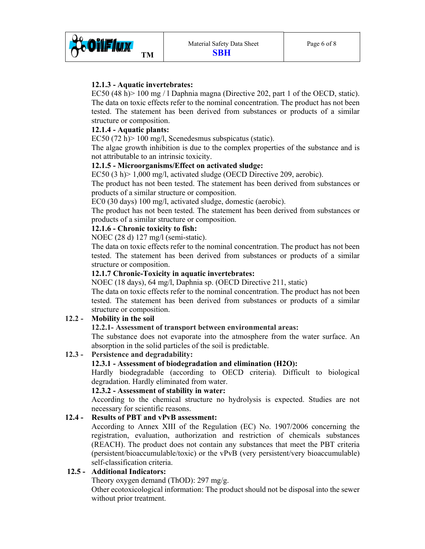

# **12.1.3 - Aquatic invertebrates:**

EC50 (48 h) $> 100$  mg / 1 Daphnia magna (Directive 202, part 1 of the OECD, static). The data on toxic effects refer to the nominal concentration. The product has not been tested. The statement has been derived from substances or products of a similar structure or composition.

# **12.1.4 - Aquatic plants:**

EC50 (72 h)> 100 mg/l, Scenedesmus subspicatus (static).

 The algae growth inhibition is due to the complex properties of the substance and is not attributable to an intrinsic toxicity.

# **12.1.5 - Microorganisms/Effect on activated sludge:**

EC50 (3 h)> 1,000 mg/l, activated sludge (OECD Directive 209, aerobic).

 The product has not been tested. The statement has been derived from substances or products of a similar structure or composition.

EC0 (30 days) 100 mg/l, activated sludge, domestic (aerobic).

 The product has not been tested. The statement has been derived from substances or products of a similar structure or composition.

### **12.1.6 - Chronic toxicity to fish:**

NOEC (28 d) 127 mg/l (semi-static).

 The data on toxic effects refer to the nominal concentration. The product has not been tested. The statement has been derived from substances or products of a similar structure or composition.

### **12.1.7 Chronic-Toxicity in aquatic invertebrates:**

NOEC (18 days), 64 mg/l, Daphnia sp. (OECD Directive 211, static)

 The data on toxic effects refer to the nominal concentration. The product has not been tested. The statement has been derived from substances or products of a similar structure or composition.

# **12.2 - Mobility in the soil**

### **12.2.1- Assessment of transport between environmental areas:**

 The substance does not evaporate into the atmosphere from the water surface. An absorption in the solid particles of the soil is predictable.

# **12.3 - Persistence and degradability:**

### **12.3.1 - Assessment of biodegradation and elimination (H2O):**

 Hardly biodegradable (according to OECD criteria). Difficult to biological degradation. Hardly eliminated from water.

### **12.3.2 - Assessment of stability in water:**

 According to the chemical structure no hydrolysis is expected. Studies are not necessary for scientific reasons.

### **12.4 - Results of PBT and vPvB assessment:**

 According to Annex XIII of the Regulation (EC) No. 1907/2006 concerning the registration, evaluation, authorization and restriction of chemicals substances (REACH). The product does not contain any substances that meet the PBT criteria (persistent/bioaccumulable/toxic) or the vPvB (very persistent/very bioaccumulable) self-classification criteria.

### **12.5 - Additional Indicators:**

Theory oxygen demand (ThOD): 297 mg/g.

 Other ecotoxicological information: The product should not be disposal into the sewer without prior treatment.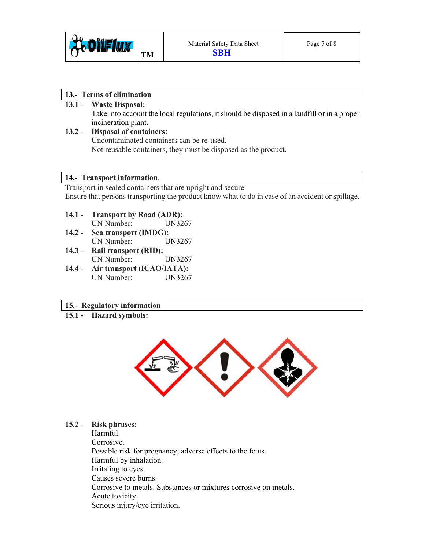

### **13.- Terms of elimination**

# **13.1 - Waste Disposal:**

Take into account the local regulations, it should be disposed in a landfill or in a proper incineration plant.

**13.2 - Disposal of containers:**  Uncontaminated containers can be re-used. Not reusable containers, they must be disposed as the product.

### **14.- Transport information**.

Transport in sealed containers that are upright and secure. Ensure that persons transporting the product know what to do in case of an accident or spillage.

**14.1 - Transport by Road (ADR):** 

UN Number: UN3267

- **14.2 Sea transport (IMDG):**  UN Number: UN3267
- **14.3 Rail transport (RID):**  UN Number: UN3267
- **14.4 Air transport (ICAO/IATA):**  UN Number: UN3267

# **15.- Regulatory information**

**15.1 - Hazard symbols:** 



### **15.2 - Risk phrases:**

Harmful. Corrosive. Possible risk for pregnancy, adverse effects to the fetus. Harmful by inhalation. Irritating to eyes. Causes severe burns. Corrosive to metals. Substances or mixtures corrosive on metals. Acute toxicity. Serious injury/eye irritation.